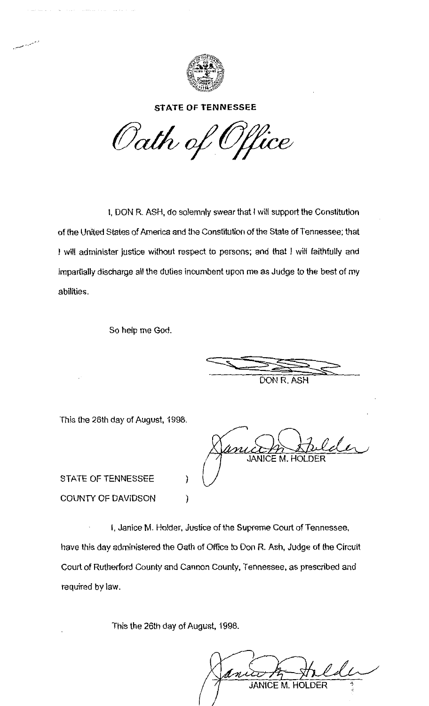

**STATE OF TENNESSEE** 

Oath of Office

I, DON R. ASH, do solemnly swear that I will support the Constitution of the United States of America and the Constitution of the State of Tennessee; that 1 will administer justice without respect to persons; and that I will faithfully and impartially discharge all the duties incumbent upon me as Judge to the best of my abilities.

So help me God.

 $\frac{1}{\sqrt{1-\frac{1}{\sqrt{1-\frac{1}{\sqrt{1-\frac{1}{\sqrt{1-\frac{1}{\sqrt{1-\frac{1}{\sqrt{1-\frac{1}{\sqrt{1-\frac{1}{\sqrt{1-\frac{1}{\sqrt{1-\frac{1}{\sqrt{1-\frac{1}{\sqrt{1-\frac{1}{\sqrt{1-\frac{1}{\sqrt{1-\frac{1}{\sqrt{1-\frac{1}{\sqrt{1-\frac{1}{\sqrt{1-\frac{1}{\sqrt{1-\frac{1}{\sqrt{1-\frac{1}{\sqrt{1-\frac{1}{\sqrt{1-\frac{1}{\sqrt{1-\frac{1}{\sqrt{1-\frac{1}{\sqrt{1-\frac{1}{\sqrt{1-\frac{1$ DON R.ASH

This the 26th day of August, 1998.

**JANICE M. HOLDER** 

STATE OF TENNESSEE  $)$ COUNTY OF DAVIDSON (1)

I, Janice M. Holder, Justice of the Supreme Court of Tennessee, have this day administered the Oath of Office to Don R. Ash, Judge of the Circuit Court of Rutherford County and Cannon County, Tennessee, as prescribed and required by law.

This the 26th day of August, 1998.

**JANICE M. HOLDER**